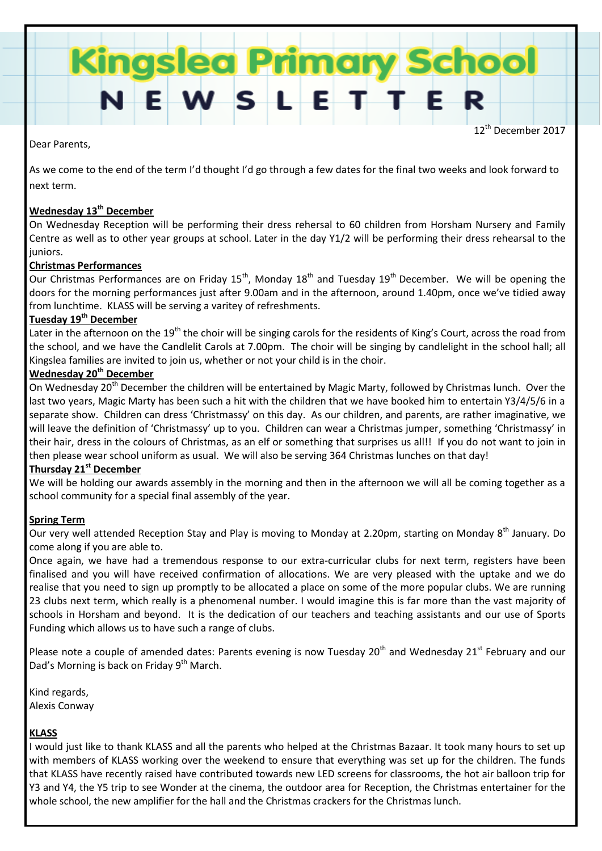lea Primary S

Dear Parents,

As we come to the end of the term I'd thought I'd go through a few dates for the final two weeks and look forward to next term.

12<sup>th</sup> December 2017

# **Wednesday 13th December**

**Kings** 

On Wednesday Reception will be performing their dress rehersal to 60 children from Horsham Nursery and Family Centre as well as to other year groups at school. Later in the day Y1/2 will be performing their dress rehearsal to the juniors.

#### **Christmas Performances**

Our Christmas Performances are on Friday 15<sup>th</sup>, Monday 18<sup>th</sup> and Tuesday 19<sup>th</sup> December. We will be opening the doors for the morning performances just after 9.00am and in the afternoon, around 1.40pm, once we've tidied away from lunchtime. KLASS will be serving a varitey of refreshments.

#### **Tuesday 19th December**

Later in the afternoon on the 19<sup>th</sup> the choir will be singing carols for the residents of King's Court, across the road from the school, and we have the Candlelit Carols at 7.00pm. The choir will be singing by candlelight in the school hall; all Kingslea families are invited to join us, whether or not your child is in the choir.

# **Wednesday 20th December**

On Wednesday 20<sup>th</sup> December the children will be entertained by Magic Marty, followed by Christmas lunch. Over the last two years, Magic Marty has been such a hit with the children that we have booked him to entertain Y3/4/5/6 in a separate show. Children can dress 'Christmassy' on this day. As our children, and parents, are rather imaginative, we will leave the definition of 'Christmassy' up to you. Children can wear a Christmas jumper, something 'Christmassy' in their hair, dress in the colours of Christmas, as an elf or something that surprises us all!! If you do not want to join in then please wear school uniform as usual. We will also be serving 364 Christmas lunches on that day!

#### **Thursday 21st December**

We will be holding our awards assembly in the morning and then in the afternoon we will all be coming together as a school community for a special final assembly of the year.

#### **Spring Term**

Our very well attended Reception Stay and Play is moving to Monday at 2.20pm, starting on Monday 8<sup>th</sup> January. Do come along if you are able to.

Once again, we have had a tremendous response to our extra-curricular clubs for next term, registers have been finalised and you will have received confirmation of allocations. We are very pleased with the uptake and we do realise that you need to sign up promptly to be allocated a place on some of the more popular clubs. We are running 23 clubs next term, which really is a phenomenal number. I would imagine this is far more than the vast majority of schools in Horsham and beyond. It is the dedication of our teachers and teaching assistants and our use of Sports Funding which allows us to have such a range of clubs.

Please note a couple of amended dates: Parents evening is now Tuesday 20<sup>th</sup> and Wednesday 21<sup>st</sup> February and our Dad's Morning is back on Friday 9<sup>th</sup> March.

Kind regards, Alexis Conway

# **KLASS**

I would just like to thank KLASS and all the parents who helped at the Christmas Bazaar. It took many hours to set up with members of KLASS working over the weekend to ensure that everything was set up for the children. The funds that KLASS have recently raised have contributed towards new LED screens for classrooms, the hot air balloon trip for Y3 and Y4, the Y5 trip to see Wonder at the cinema, the outdoor area for Reception, the Christmas entertainer for the whole school, the new amplifier for the hall and the Christmas crackers for the Christmas lunch.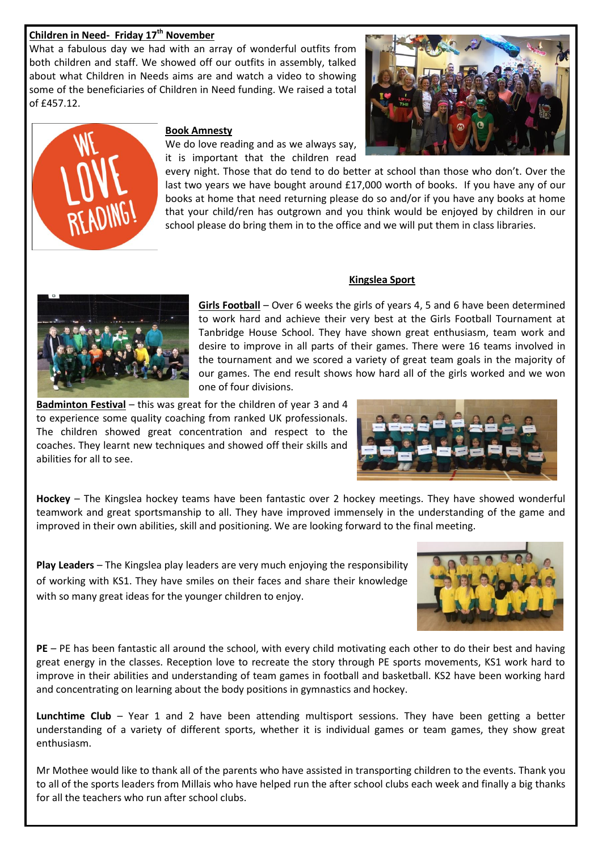# **Children in Need- Friday 17th November**

What a fabulous day we had with an array of wonderful outfits from both children and staff. We showed off our outfits in assembly, talked about what Children in Needs aims are and watch a video to showing some of the beneficiaries of Children in Need funding. We raised a total of £457.12.

#### **Book Amnesty**

We do love reading and as we always say, it is important that the children read

every night. Those that do tend to do better at school than those who don't. Over the last two years we have bought around £17,000 worth of books. If you have any of our books at home that need returning please do so and/or if you have any books at home that your child/ren has outgrown and you think would be enjoyed by children in our school please do bring them in to the office and we will put them in class libraries.

#### **Kingslea Sport**

**Girls Football** – Over 6 weeks the girls of years 4, 5 and 6 have been determined to work hard and achieve their very best at the Girls Football Tournament at Tanbridge House School. They have shown great enthusiasm, team work and desire to improve in all parts of their games. There were 16 teams involved in the tournament and we scored a variety of great team goals in the majority of our games. The end result shows how hard all of the girls worked and we won one of four divisions.

**Badminton Festival** – this was great for the children of year 3 and 4 to experience some quality coaching from ranked UK professionals. The children showed great concentration and respect to the coaches. They learnt new techniques and showed off their skills and abilities for all to see.

**Hockey** – The Kingslea hockey teams have been fantastic over 2 hockey meetings. They have showed wonderful teamwork and great sportsmanship to all. They have improved immensely in the understanding of the game and improved in their own abilities, skill and positioning. We are looking forward to the final meeting.

**Play Leaders** – The Kingslea play leaders are very much enjoying the responsibility of working with KS1. They have smiles on their faces and share their knowledge with so many great ideas for the younger children to enjoy.

**PE** – PE has been fantastic all around the school, with every child motivating each other to do their best and having great energy in the classes. Reception love to recreate the story through PE sports movements, KS1 work hard to improve in their abilities and understanding of team games in football and basketball. KS2 have been working hard and concentrating on learning about the body positions in gymnastics and hockey.

**Lunchtime Club** – Year 1 and 2 have been attending multisport sessions. They have been getting a better understanding of a variety of different sports, whether it is individual games or team games, they show great enthusiasm.

Mr Mothee would like to thank all of the parents who have assisted in transporting children to the events. Thank you to all of the sports leaders from Millais who have helped run the after school clubs each week and finally a big thanks for all the teachers who run after school clubs.





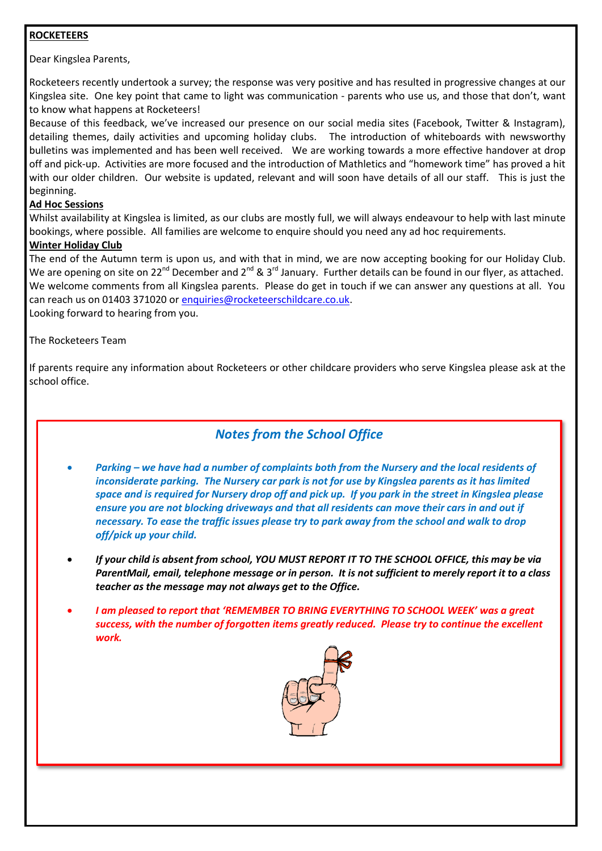# **ROCKETEERS**

Dear Kingslea Parents,

Rocketeers recently undertook a survey; the response was very positive and has resulted in progressive changes at our Kingslea site. One key point that came to light was communication - parents who use us, and those that don't, want to know what happens at Rocketeers!

Because of this feedback, we've increased our presence on our social media sites (Facebook, Twitter & Instagram), detailing themes, daily activities and upcoming holiday clubs. The introduction of whiteboards with newsworthy bulletins was implemented and has been well received. We are working towards a more effective handover at drop off and pick-up. Activities are more focused and the introduction of Mathletics and "homework time" has proved a hit with our older children. Our website is updated, relevant and will soon have details of all our staff. This is just the beginning.

# **Ad Hoc Sessions**

Whilst availability at Kingslea is limited, as our clubs are mostly full, we will always endeavour to help with last minute bookings, where possible. All families are welcome to enquire should you need any ad hoc requirements.

# **Winter Holiday Club**

The end of the Autumn term is upon us, and with that in mind, we are now accepting booking for our Holiday Club. We are opening on site on 22<sup>nd</sup> December and 2<sup>nd</sup> & 3<sup>rd</sup> January. Further details can be found in our flyer, as attached. We welcome comments from all Kingslea parents. Please do get in touch if we can answer any questions at all. You can reach us on 01403 371020 o[r enquiries@rocketeerschildcare.co.uk.](mailto:enquiries@rocketeerschildcare.co.uk) Looking forward to hearing from you.

The Rocketeers Team

If parents require any information about Rocketeers or other childcare providers who serve Kingslea please ask at the school office.

# *Notes from the School Office*

- *Parking – we have had a number of complaints both from the Nursery and the local residents of inconsiderate parking. The Nursery car park is not for use by Kingslea parents as it has limited space and is required for Nursery drop off and pick up. If you park in the street in Kingslea please ensure you are not blocking driveways and that all residents can move their cars in and out if necessary. To ease the traffic issues please try to park away from the school and walk to drop off/pick up your child.*
- *If your child is absent from school, YOU MUST REPORT IT TO THE SCHOOL OFFICE, this may be via ParentMail, email, telephone message or in person. It is not sufficient to merely report it to a class teacher as the message may not always get to the Office.*
- *I am pleased to report that 'REMEMBER TO BRING EVERYTHING TO SCHOOL WEEK' was a great success, with the number of forgotten items greatly reduced. Please try to continue the excellent work.*

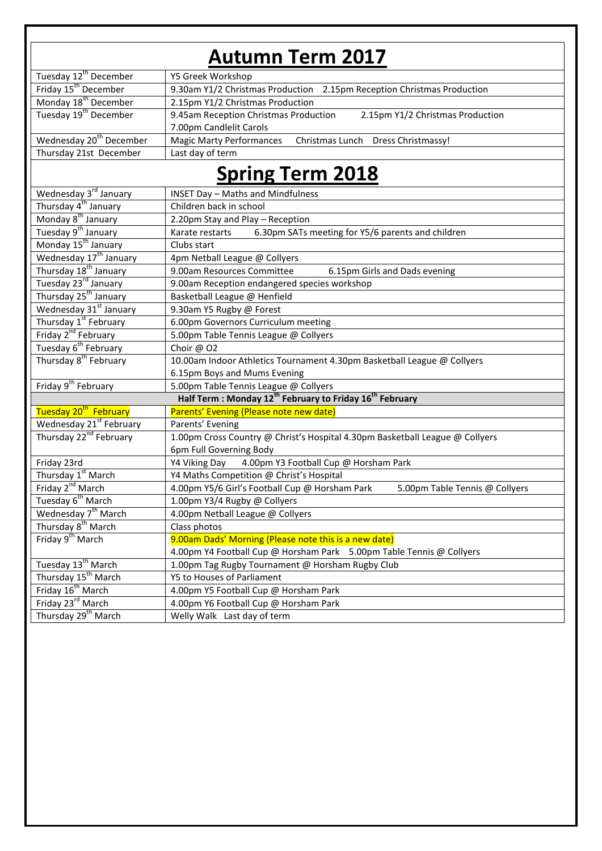| <b>Autumn Term 2017</b>                                                          |                                                                                                         |  |  |  |
|----------------------------------------------------------------------------------|---------------------------------------------------------------------------------------------------------|--|--|--|
| Tuesday 12 <sup>th</sup> December                                                | Y5 Greek Workshop                                                                                       |  |  |  |
| Friday 15 <sup>th</sup> December                                                 | 9.30am Y1/2 Christmas Production<br>2.15pm Reception Christmas Production                               |  |  |  |
| Monday 18 <sup>th</sup> December                                                 | 2.15pm Y1/2 Christmas Production                                                                        |  |  |  |
| Tuesday 19 <sup>th</sup> December                                                | 9.45am Reception Christmas Production<br>2.15pm Y1/2 Christmas Production                               |  |  |  |
|                                                                                  | 7.00pm Candlelit Carols                                                                                 |  |  |  |
| Wednesday 20 <sup>th</sup> December                                              | <b>Magic Marty Performances</b><br>Christmas Lunch Dress Christmassy!                                   |  |  |  |
| Thursday 21st December                                                           | Last day of term                                                                                        |  |  |  |
| <b>Spring Term 2018</b>                                                          |                                                                                                         |  |  |  |
| Wednesday 3rd January                                                            | INSET Day - Maths and Mindfulness                                                                       |  |  |  |
| Thursday 4 <sup>th</sup> January                                                 | Children back in school                                                                                 |  |  |  |
| Monday 8 <sup>th</sup> January                                                   | 2.20pm Stay and Play - Reception                                                                        |  |  |  |
| Tuesday 9 <sup>th</sup> January                                                  | 6.30pm SATs meeting for Y5/6 parents and children<br>Karate restarts                                    |  |  |  |
| Monday 15 <sup>th</sup> January                                                  | Clubs start                                                                                             |  |  |  |
| Wednesday 17 <sup>th</sup> January                                               | 4pm Netball League @ Collyers                                                                           |  |  |  |
| Thursday 18 <sup>th</sup> January                                                | 9.00am Resources Committee<br>6.15pm Girls and Dads evening                                             |  |  |  |
| Tuesday 23 <sup>rd</sup> January                                                 | 9.00am Reception endangered species workshop                                                            |  |  |  |
| Thursday 25 <sup>th</sup> January                                                | Basketball League @ Henfield                                                                            |  |  |  |
| Wednesday 31 <sup>st</sup> January                                               | 9.30am Y5 Rugby @ Forest                                                                                |  |  |  |
| Thursday 1 <sup>st</sup> February                                                | 6.00pm Governors Curriculum meeting                                                                     |  |  |  |
| Friday 2 <sup>nd</sup> February                                                  | 5.00pm Table Tennis League @ Collyers                                                                   |  |  |  |
| Tuesday 6 <sup>th</sup> February                                                 | Choir @ O2                                                                                              |  |  |  |
| Thursday 8 <sup>th</sup> February                                                | 10.00am Indoor Athletics Tournament 4.30pm Basketball League @ Collyers                                 |  |  |  |
|                                                                                  | 6.15pm Boys and Mums Evening                                                                            |  |  |  |
| Friday 9 <sup>th</sup> February                                                  | 5.00pm Table Tennis League @ Collyers                                                                   |  |  |  |
| Half Term : Monday 12 <sup>th</sup> February to Friday 16 <sup>th</sup> February |                                                                                                         |  |  |  |
| Tuesday 20 <sup>th</sup> February                                                | Parents' Evening (Please note new date)                                                                 |  |  |  |
| Wednesday 21 <sup>st</sup> February                                              | Parents' Evening                                                                                        |  |  |  |
| Thursday 22 <sup>nd</sup> February                                               | 1.00pm Cross Country @ Christ's Hospital 4.30pm Basketball League @ Collyers<br>6pm Full Governing Body |  |  |  |
| Friday 23rd                                                                      | 4.00pm Y3 Football Cup @ Horsham Park<br>Y4 Viking Day                                                  |  |  |  |
| Thursday 1 <sup>st</sup> March                                                   | Y4 Maths Competition @ Christ's Hospital                                                                |  |  |  |
| Friday 2 <sup>nd</sup> March                                                     | 4.00pm Y5/6 Girl's Football Cup @ Horsham Park<br>5.00pm Table Tennis @ Collyers                        |  |  |  |
| Tuesday 6 <sup>th</sup> March                                                    | 1.00pm Y3/4 Rugby @ Collyers                                                                            |  |  |  |
| Wednesday 7 <sup>th</sup> March                                                  | 4.00pm Netball League @ Collyers                                                                        |  |  |  |
| Thursday 8 <sup>th</sup> March                                                   | Class photos                                                                                            |  |  |  |
| Friday 9 <sup>th</sup> March                                                     | 9.00am Dads' Morning (Please note this is a new date)                                                   |  |  |  |
|                                                                                  | 4.00pm Y4 Football Cup @ Horsham Park 5.00pm Table Tennis @ Collyers                                    |  |  |  |
| Tuesday 13 <sup>th</sup> March                                                   | 1.00pm Tag Rugby Tournament @ Horsham Rugby Club                                                        |  |  |  |
| Thursday 15 <sup>th</sup> March                                                  | Y5 to Houses of Parliament                                                                              |  |  |  |
| Friday 16 <sup>th</sup> March                                                    | 4.00pm Y5 Football Cup @ Horsham Park                                                                   |  |  |  |
| Friday 23rd March                                                                | 4.00pm Y6 Football Cup @ Horsham Park                                                                   |  |  |  |
| Thursday 29 <sup>th</sup> March                                                  | Welly Walk Last day of term                                                                             |  |  |  |